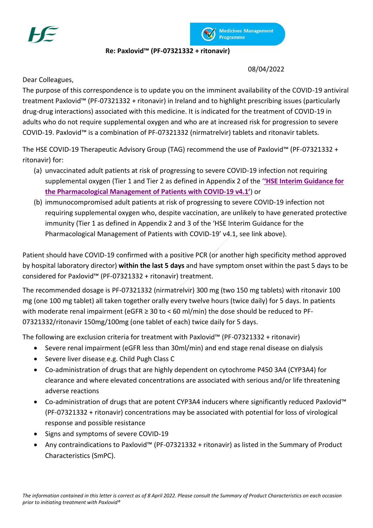



## **Re: Paxlovid™ (PF-07321332 + ritonavir)**

08/04/2022

Dear Colleagues,

The purpose of this correspondence is to update you on the imminent availability of the COVID-19 antiviral treatment Paxlovid™ (PF-07321332 + ritonavir) in Ireland and to highlight prescribing issues (particularly drug-drug interactions) associated with this medicine. It is indicated for the treatment of COVID-19 in adults who do not require supplemental oxygen and who are at increased risk for progression to severe COVID-19. Paxlovid™ is a combination of PF-07321332 (nirmatrelvir) tablets and ritonavir tablets.

The HSE COVID-19 Therapeutic Advisory Group (TAG) recommend the use of Paxlovid™ (PF-07321332 + ritonavir) for:

- (a) unvaccinated adult patients at risk of progressing to severe COVID-19 infection not requiring supplemental oxygen (Tier 1 and Tier 2 as defined in Appendix 2 of the '**'HSE Interim [Guidance](https://www.hse.ie/eng/about/who/acute-hospitals-division/drugs-management-programme/hse-interim-guidance-for-the-pharmacological-management-of-patients-hospitalised-with-covid-19.pdf) for the [Pharmacological](https://www.hse.ie/eng/about/who/acute-hospitals-division/drugs-management-programme/hse-interim-guidance-for-the-pharmacological-management-of-patients-hospitalised-with-covid-19.pdf) Management of Patients with COVID-19 v4.1'**) or
- (b) immunocompromised adult patients at risk of progressing to severe COVID-19 infection not requiring supplemental oxygen who, despite vaccination, are unlikely to have generated protective immunity (Tier 1 as defined in Appendix 2 and 3 of the 'HSE Interim Guidance for the Pharmacological Management of Patients with COVID-19' v4.1, see link above).

Patient should have COVID-19 confirmed with a positive PCR (or another high specificity method approved by hospital laboratory director) **within the last 5 days** and have symptom onset within the past 5 days to be considered for Paxlovid™ (PF-07321332 + ritonavir) treatment.

The recommended dosage is PF-07321332 (nirmatrelvir) 300 mg (two 150 mg tablets) with ritonavir 100 mg (one 100 mg tablet) all taken together orally every twelve hours (twice daily) for 5 days. In patients with moderate renal impairment (eGFR  $\geq 30$  to < 60 ml/min) the dose should be reduced to PF-07321332/ritonavir 150mg/100mg (one tablet of each) twice daily for 5 days.

The following are exclusion criteria for treatment with Paxlovid™ (PF-07321332 + ritonavir)

- Severe renal impairment (eGFR less than 30ml/min) and end stage renal disease on dialysis
- Severe liver disease e.g. Child Pugh Class C
- Co-administration of drugs that are highly dependent on cytochrome P450 3A4 (CYP3A4) for clearance and where elevated concentrations are associated with serious and/or life threatening adverse reactions
- Co-administration of drugs that are potent CYP3A4 inducers where significantly reduced Paxlovid™ (PF-07321332 + ritonavir) concentrations may be associated with potential for loss of virological response and possible resistance
- Signs and symptoms of severe COVID-19
- Any contraindications to Paxlovid™ (PF-07321332 + ritonavir) as listed in the Summary of Product Characteristics (SmPC).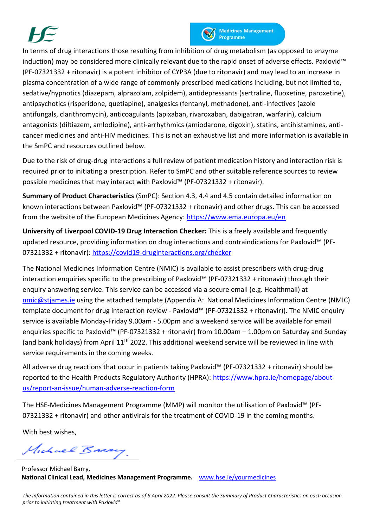



In terms of drug interactions those resulting from inhibition of drug metabolism (as opposed to enzyme induction) may be considered more clinically relevant due to the rapid onset of adverse effects. Paxlovid™ (PF-07321332 + ritonavir) is a potent inhibitor of CYP3A (due to ritonavir) and may lead to an increase in plasma concentration of a wide range of commonly prescribed medications including, but not limited to, sedative/hypnotics (diazepam, alprazolam, zolpidem), antidepressants (sertraline, fluoxetine, paroxetine), antipsychotics (risperidone, quetiapine), analgesics (fentanyl, methadone), anti-infectives (azole antifungals, clarithromycin), anticoagulants (apixaban, rivaroxaban, dabigatran, warfarin), calcium antagonists (diltiazem, amlodipine), anti-arrhythmics (amiodarone, digoxin), statins, antihistamines, anticancer medicines and anti-HIV medicines. This is not an exhaustive list and more information is available in the SmPC and resources outlined below.

Due to the risk of drug-drug interactions a full review of patient medication history and interaction risk is required prior to initiating a prescription. Refer to SmPC and other suitable reference sources to review possible medicines that may interact with Paxlovid™ (PF-07321332 + ritonavir).

**Summary of Product Characteristics** (SmPC): Section 4.3, 4.4 and 4.5 contain detailed information on known interactions between Paxlovid™ (PF-07321332 + ritonavir) and other drugs. This can be accessed from the website of the European Medicines Agency: <https://www.ema.europa.eu/en>

**University of Liverpool COVID-19 Drug Interaction Checker:** This is a freely available and frequently updated resource, providing information on drug interactions and contraindications for Paxlovid™ (PF-07321332 + ritonavir):<https://covid19-druginteractions.org/checker>

The National Medicines Information Centre (NMIC) is available to assist prescribers with drug-drug interaction enquiries specific to the prescribing of Paxlovid™ (PF-07321332 + ritonavir) through their enquiry answering service. This service can be accessed via a secure email (e.g. Healthmail) at [nmic@stjames.ie](mailto:nmic@stjames.ie) using the attached template (Appendix A: National Medicines Information Centre (NMIC) template document for drug interaction review - Paxlovid™ (PF-07321332 + ritonavir)). The NMIC enquiry service is available Monday-Friday 9.00am - 5.00pm and a weekend service will be available for email enquiries specific to Paxlovid™ (PF-07321332 + ritonavir) from 10.00am – 1.00pm on Saturday and Sunday (and bank holidays) from April  $11<sup>th</sup> 2022$ . This additional weekend service will be reviewed in line with service requirements in the coming weeks.

All adverse drug reactions that occur in patients taking Paxlovid™ (PF-07321332 + ritonavir) should be reported to the Health Products Regulatory Authority (HPRA): [https://www.hpra.ie/homepage/about](https://www.hpra.ie/homepage/about-us/report-an-issue/human-adverse-reaction-form)[us/report-an-issue/human-adverse-reaction-form](https://www.hpra.ie/homepage/about-us/report-an-issue/human-adverse-reaction-form)

The HSE-Medicines Management Programme (MMP) will monitor the utilisation of Paxlovid™ (PF-07321332 + ritonavir) and other antivirals for the treatment of COVID-19 in the coming months.

With best wishes,

Michael Brasy.

Professor Michael Barry, **National Clinical Lead, Medicines Management Programme.** [www.hse.ie/yourmedicines](http://www.hse.ie/yourmedicines)

*The information contained in this letter is correct as of 8 April 2022. Please consult the Summary of Product Characteristics on each occasion prior to initiating treatment with Paxlovid®*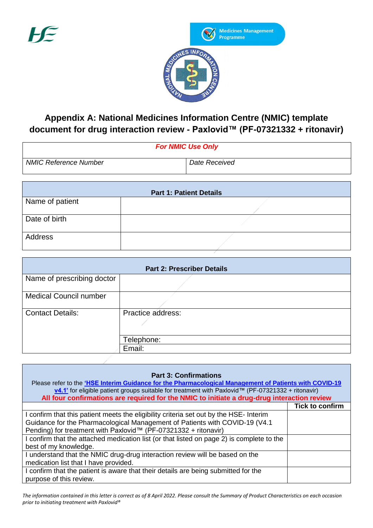

## **Appendix A: National Medicines Information Centre (NMIC) template document for drug interaction review - Paxlovid™ (PF-07321332 + ritonavir)**

| <b>For NMIC Use Only</b>     |               |  |  |
|------------------------------|---------------|--|--|
| <b>NMIC Reference Number</b> | Date Received |  |  |

| <b>Part 1: Patient Details</b> |  |  |  |  |
|--------------------------------|--|--|--|--|
| Name of patient                |  |  |  |  |
| Date of birth                  |  |  |  |  |
| Address                        |  |  |  |  |

| <b>Part 2: Prescriber Details</b> |                   |  |  |  |
|-----------------------------------|-------------------|--|--|--|
| Name of prescribing doctor        |                   |  |  |  |
| <b>Medical Council number</b>     |                   |  |  |  |
| <b>Contact Details:</b>           | Practice address: |  |  |  |
|                                   | Telephone:        |  |  |  |
|                                   | Email:            |  |  |  |

| <b>Part 3: Confirmations</b><br>Please refer to the 'HSE Interim Guidance for the Pharmacological Management of Patients with COVID-19<br><b>v4.1'</b> for eligible patient groups suitable for treatment with Paxlovid <sup>™</sup> (PF-07321332 + ritonavir)<br>All four confirmations are required for the NMIC to initiate a drug-drug interaction review |                        |  |  |
|---------------------------------------------------------------------------------------------------------------------------------------------------------------------------------------------------------------------------------------------------------------------------------------------------------------------------------------------------------------|------------------------|--|--|
|                                                                                                                                                                                                                                                                                                                                                               | <b>Tick to confirm</b> |  |  |
| I confirm that this patient meets the eligibility criteria set out by the HSE- Interim                                                                                                                                                                                                                                                                        |                        |  |  |
| Guidance for the Pharmacological Management of Patients with COVID-19 (V4.1)                                                                                                                                                                                                                                                                                  |                        |  |  |
| Pending) for treatment with Paxlovid™ (PF-07321332 + ritonavir)                                                                                                                                                                                                                                                                                               |                        |  |  |
| I confirm that the attached medication list (or that listed on page 2) is complete to the                                                                                                                                                                                                                                                                     |                        |  |  |
| best of my knowledge.                                                                                                                                                                                                                                                                                                                                         |                        |  |  |
| I understand that the NMIC drug-drug interaction review will be based on the                                                                                                                                                                                                                                                                                  |                        |  |  |
| medication list that I have provided.                                                                                                                                                                                                                                                                                                                         |                        |  |  |
| I confirm that the patient is aware that their details are being submitted for the                                                                                                                                                                                                                                                                            |                        |  |  |
| purpose of this review.                                                                                                                                                                                                                                                                                                                                       |                        |  |  |

*The information contained in this letter is correct as of 8 April 2022. Please consult the Summary of Product Characteristics on each occasion prior to initiating treatment with Paxlovid®*